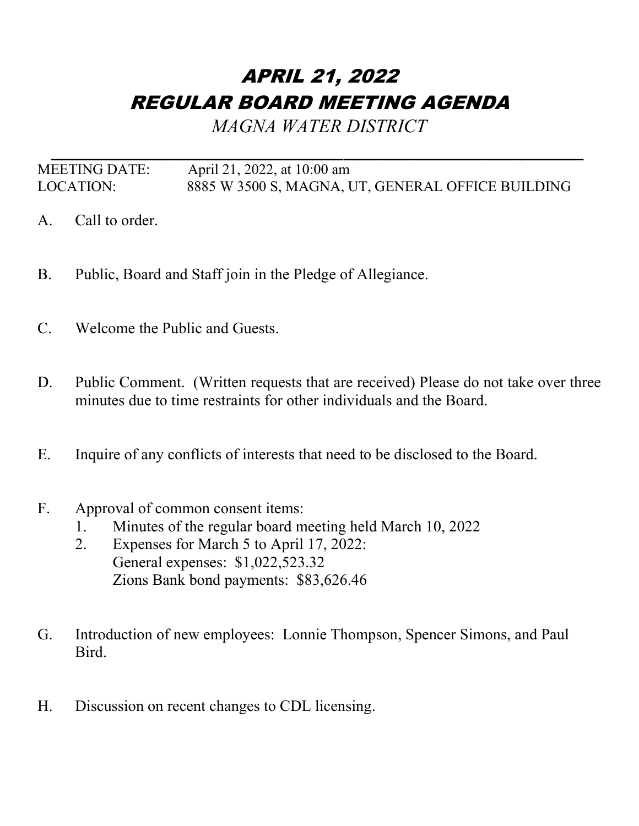## APRIL 21, 2022 REGULAR BOARD MEETING AGENDA

*MAGNA WATER DISTRICT*

*\_\_\_\_\_\_\_\_\_\_\_\_\_\_\_\_\_\_\_\_\_\_\_\_\_\_\_\_\_\_\_\_\_\_\_\_\_\_\_\_\_\_\_\_\_\_\_\_\_\_\_* MEETING DATE: April 21, 2022, at 10:00 am LOCATION: 8885 W 3500 S, MAGNA, UT, GENERAL OFFICE BUILDING

- A. Call to order.
- B. Public, Board and Staff join in the Pledge of Allegiance.
- C. Welcome the Public and Guests.
- D. Public Comment. (Written requests that are received) Please do not take over three minutes due to time restraints for other individuals and the Board.
- E. Inquire of any conflicts of interests that need to be disclosed to the Board.
- F. Approval of common consent items:
	- 1. Minutes of the regular board meeting held March 10, 2022
	- 2. Expenses for March 5 to April 17, 2022: General expenses: \$1,022,523.32 Zions Bank bond payments: \$83,626.46
- G. Introduction of new employees: Lonnie Thompson, Spencer Simons, and Paul Bird.
- H. Discussion on recent changes to CDL licensing.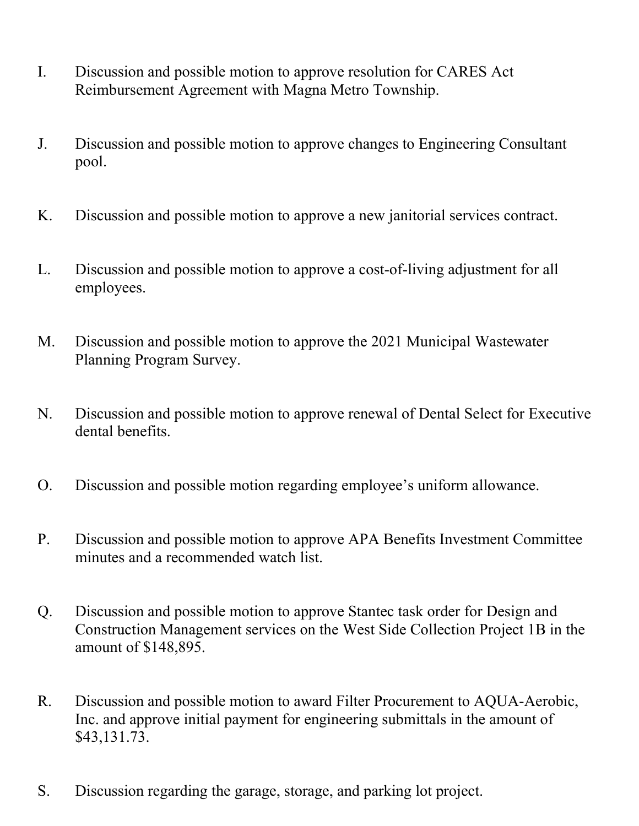- I. Discussion and possible motion to approve resolution for CARES Act Reimbursement Agreement with Magna Metro Township.
- J. Discussion and possible motion to approve changes to Engineering Consultant pool.
- K. Discussion and possible motion to approve a new janitorial services contract.
- L. Discussion and possible motion to approve a cost-of-living adjustment for all employees.
- M. Discussion and possible motion to approve the 2021 Municipal Wastewater Planning Program Survey.
- N. Discussion and possible motion to approve renewal of Dental Select for Executive dental benefits.
- O. Discussion and possible motion regarding employee's uniform allowance.
- P. Discussion and possible motion to approve APA Benefits Investment Committee minutes and a recommended watch list.
- Q. Discussion and possible motion to approve Stantec task order for Design and Construction Management services on the West Side Collection Project 1B in the amount of \$148,895.
- R. Discussion and possible motion to award Filter Procurement to AQUA-Aerobic, Inc. and approve initial payment for engineering submittals in the amount of \$43,131.73.
- S. Discussion regarding the garage, storage, and parking lot project.